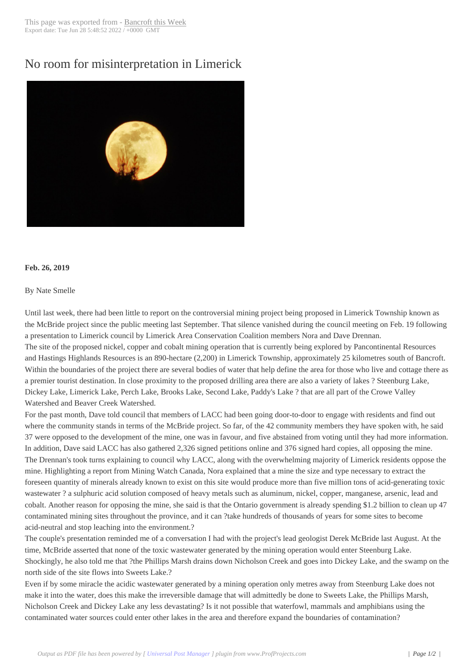## No room for misint[erpretation in](http://www.bancroftthisweek.com/?p=9592) Limerick



## **Feb. 26, 2019**

## By Nate Smelle

Until last week, there had been little to report on the controversial mining project being proposed in Limerick Township known as the McBride project since the public meeting last September. That silence vanished during the council meeting on Feb. 19 following a presentation to Limerick council by Limerick Area Conservation Coalition members Nora and Dave Drennan. The site of the proposed nickel, copper and cobalt mining operation that is currently being explored by Pancontinental Resources and Hastings Highlands Resources is an 890-hectare (2,200) in Limerick Township, approximately 25 kilometres south of Bancroft. Within the boundaries of the project there are several bodies of water that help define the area for those who live and cottage there as a premier tourist destination. In close proximity to the proposed drilling area there are also a variety of lakes ? Steenburg Lake, Dickey Lake, Limerick Lake, Perch Lake, Brooks Lake, Second Lake, Paddy's Lake ? that are all part of the Crowe Valley Watershed and Beaver Creek Watershed.

For the past month, Dave told council that members of LACC had been going door-to-door to engage with residents and find out where the community stands in terms of the McBride project. So far, of the 42 community members they have spoken with, he said 37 were opposed to the development of the mine, one was in favour, and five abstained from voting until they had more information. In addition, Dave said LACC has also gathered 2,326 signed petitions online and 376 signed hard copies, all opposing the mine. The Drennan's took turns explaining to council why LACC, along with the overwhelming majority of Limerick residents oppose the mine. Highlighting a report from Mining Watch Canada, Nora explained that a mine the size and type necessary to extract the foreseen quantity of minerals already known to exist on this site would produce more than five million tons of acid-generating toxic wastewater ? a sulphuric acid solution composed of heavy metals such as aluminum, nickel, copper, manganese, arsenic, lead and cobalt. Another reason for opposing the mine, she said is that the Ontario government is already spending \$1.2 billion to clean up 47 contaminated mining sites throughout the province, and it can ?take hundreds of thousands of years for some sites to become acid-neutral and stop leaching into the environment.?

The couple's presentation reminded me of a conversation I had with the project's lead geologist Derek McBride last August. At the time, McBride asserted that none of the toxic wastewater generated by the mining operation would enter Steenburg Lake. Shockingly, he also told me that ?the Phillips Marsh drains down Nicholson Creek and goes into Dickey Lake, and the swamp on the north side of the site flows into Sweets Lake.?

Even if by some miracle the acidic wastewater generated by a mining operation only metres away from Steenburg Lake does not make it into the water, does this make the irreversible damage that will admittedly be done to Sweets Lake, the Phillips Marsh, Nicholson Creek and Dickey Lake any less devastating? Is it not possible that waterfowl, mammals and amphibians using the contaminated water sources could enter other lakes in the area and therefore expand the boundaries of contamination?